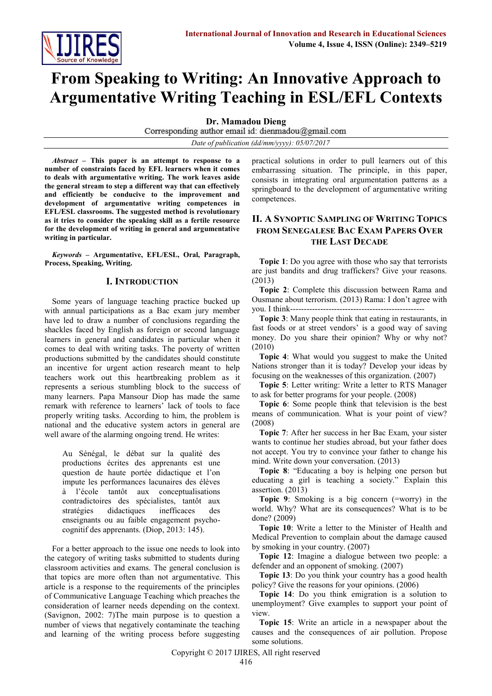

# **From Speaking to Writing: An Innovative Approach to Argumentative Writing Teaching in ESL/EFL Contexts**

**Dr. Mamadou Dieng**

Corresponding author email id: dienmadou@gmail.com

*Date of publication (dd/mm/yyyy): 05/07/2017*

*Abstract* **– This paper is an attempt to response to a number of constraints faced by EFL learners when it comes to deals with argumentative writing. The work leaves aside the general stream to step a different way that can effectively and efficiently be conducive to the improvement and development of argumentative writing competences in EFL/ESL classrooms. The suggested method is revolutionary as it tries to consider the speaking skill as a fertile resource for the development of writing in general and argumentative writing in particular.** 

*Keywords* **– Argumentative, EFL/ESL, Oral, Paragraph, Process, Speaking, Writing.**

#### **I. INTRODUCTION**

Some years of language teaching practice bucked up with annual participations as a Bac exam jury member have led to draw a number of conclusions regarding the shackles faced by English as foreign or second language learners in general and candidates in particular when it comes to deal with writing tasks. The poverty of written productions submitted by the candidates should constitute an incentive for urgent action research meant to help teachers work out this heartbreaking problem as it represents a serious stumbling block to the success of many learners. Papa Mansour Diop has made the same remark with reference to learners' lack of tools to face properly writing tasks. According to him, the problem is national and the educative system actors in general are well aware of the alarming ongoing trend. He writes:

 Au Sénégal, le débat sur la qualité des productions écrites des apprenants est une question de haute portée didactique et l'on impute les performances lacunaires des élèves à l'école tantôt aux conceptualisations contradictoires des spécialistes, tantôt aux stratégies didactiques inefficaces des enseignants ou au faible engagement psychocognitif des apprenants. (Diop, 2013: 145).

For a better approach to the issue one needs to look into the category of writing tasks submitted to students during classroom activities and exams. The general conclusion is that topics are more often than not argumentative. This article is a response to the requirements of the principles of Communicative Language Teaching which preaches the consideration of learner needs depending on the context. (Savignon, 2002: 7)The main purpose is to question a number of views that negatively contaminate the teaching and learning of the writing process before suggesting practical solutions in order to pull learners out of this embarrassing situation. The principle, in this paper, consists in integrating oral argumentation patterns as a springboard to the development of argumentative writing competences.

### **II. A SYNOPTIC SAMPLING OF WRITING TOPICS FROM SENEGALESE BAC EXAM PAPERS OVER THE LAST DECADE**

**Topic 1**: Do you agree with those who say that terrorists are just bandits and drug traffickers? Give your reasons. (2013)

**Topic 2**: Complete this discussion between Rama and Ousmane about terrorism. (2013) Rama: I don't agree with you. I think--------------

**Topic 3**: Many people think that eating in restaurants, in fast foods or at street vendors' is a good way of saving money. Do you share their opinion? Why or why not? (2010)

**Topic 4**: What would you suggest to make the United Nations stronger than it is today? Develop your ideas by focusing on the weaknesses of this organization. (2007)

**Topic 5**: Letter writing: Write a letter to RTS Manager to ask for better programs for your people. (2008)

**Topic 6**: Some people think that television is the best means of communication. What is your point of view? (2008)

**Topic 7**: After her success in her Bac Exam, your sister wants to continue her studies abroad, but your father does not accept. You try to convince your father to change his mind. Write down your conversation. (2013)

**Topic 8**: "Educating a boy is helping one person but educating a girl is teaching a society." Explain this assertion. (2013)

**Topic 9**: Smoking is a big concern (=worry) in the world. Why? What are its consequences? What is to be done? (2009)

**Topic 10**: Write a letter to the Minister of Health and Medical Prevention to complain about the damage caused by smoking in your country. (2007)

**Topic 12**: Imagine a dialogue between two people: a defender and an opponent of smoking. (2007)

**Topic 13**: Do you think your country has a good health policy? Give the reasons for your opinions. (2006)

**Topic 14**: Do you think emigration is a solution to unemployment? Give examples to support your point of view.

**Topic 15**: Write an article in a newspaper about the causes and the consequences of air pollution. Propose some solutions.

Copyright © 2017 IJIRES, All right reserved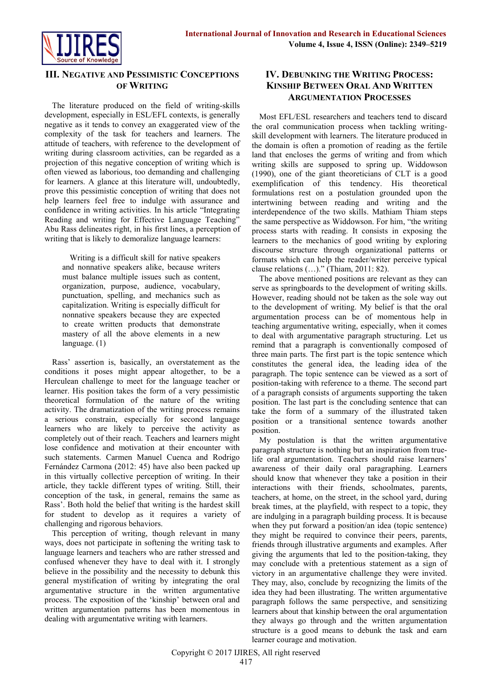

# **III. NEGATIVE AND PESSIMISTIC CONCEPTIONS OF WRITING**

The literature produced on the field of writing-skills development, especially in ESL/EFL contexts, is generally negative as it tends to convey an exaggerated view of the complexity of the task for teachers and learners. The attitude of teachers, with reference to the development of writing during classroom activities, can be regarded as a projection of this negative conception of writing which is often viewed as laborious, too demanding and challenging for learners. A glance at this literature will, undoubtedly, prove this pessimistic conception of writing that does not help learners feel free to indulge with assurance and confidence in writing activities. In his article "Integrating Reading and writing for Effective Language Teaching" Abu Rass delineates right, in his first lines, a perception of writing that is likely to demoralize language learners:

Writing is a difficult skill for native speakers and nonnative speakers alike, because writers must balance multiple issues such as content, organization, purpose, audience, vocabulary, punctuation, spelling, and mechanics such as capitalization. Writing is especially difficult for nonnative speakers because they are expected to create written products that demonstrate mastery of all the above elements in a new language. (1)

Rass' assertion is, basically, an overstatement as the conditions it poses might appear altogether, to be a Herculean challenge to meet for the language teacher or learner. His position takes the form of a very pessimistic theoretical formulation of the nature of the writing activity. The dramatization of the writing process remains a serious constrain, especially for second language learners who are likely to perceive the activity as completely out of their reach. Teachers and learners might lose confidence and motivation at their encounter with such statements. Carmen Manuel Cuenca and Rodrigo Fernández Carmona (2012: 45) have also been packed up in this virtually collective perception of writing. In their article, they tackle different types of writing. Still, their conception of the task, in general, remains the same as Rass'. Both hold the belief that writing is the hardest skill for student to develop as it requires a variety of challenging and rigorous behaviors.

This perception of writing, though relevant in many ways, does not participate in softening the writing task to language learners and teachers who are rather stressed and confused whenever they have to deal with it. I strongly believe in the possibility and the necessity to debunk this general mystification of writing by integrating the oral argumentative structure in the written argumentative process. The exposition of the 'kinship' between oral and written argumentation patterns has been momentous in dealing with argumentative writing with learners.

# **IV. DEBUNKING THE WRITING PROCESS: KINSHIP BETWEEN ORAL AND WRITTEN ARGUMENTATION PROCESSES**

Most EFL/ESL researchers and teachers tend to discard the oral communication process when tackling writingskill development with learners. The literature produced in the domain is often a promotion of reading as the fertile land that encloses the germs of writing and from which writing skills are supposed to spring up. Widdowson (1990), one of the giant theoreticians of CLT is a good exemplification of this tendency. His theoretical formulations rest on a postulation grounded upon the intertwining between reading and writing and the interdependence of the two skills. Mathiam Thiam steps the same perspective as Widdowson. For him, "the writing process starts with reading. It consists in exposing the learners to the mechanics of good writing by exploring discourse structure through organizational patterns or formats which can help the reader/writer perceive typical clause relations (…)." (Thiam, 2011: 82).

The above mentioned positions are relevant as they can serve as springboards to the development of writing skills. However, reading should not be taken as the sole way out to the development of writing. My belief is that the oral argumentation process can be of momentous help in teaching argumentative writing, especially, when it comes to deal with argumentative paragraph structuring. Let us remind that a paragraph is conventionally composed of three main parts. The first part is the topic sentence which constitutes the general idea, the leading idea of the paragraph. The topic sentence can be viewed as a sort of position-taking with reference to a theme. The second part of a paragraph consists of arguments supporting the taken position. The last part is the concluding sentence that can take the form of a summary of the illustrated taken position or a transitional sentence towards another position.

My postulation is that the written argumentative paragraph structure is nothing but an inspiration from truelife oral argumentation. Teachers should raise learners' awareness of their daily oral paragraphing. Learners should know that whenever they take a position in their interactions with their friends, schoolmates, parents, teachers, at home, on the street, in the school yard, during break times, at the playfield, with respect to a topic, they are indulging in a paragraph building process. It is because when they put forward a position/an idea (topic sentence) they might be required to convince their peers, parents, friends through illustrative arguments and examples. After giving the arguments that led to the position-taking, they may conclude with a pretentious statement as a sign of victory in an argumentative challenge they were invited. They may, also, conclude by recognizing the limits of the idea they had been illustrating. The written argumentative paragraph follows the same perspective, and sensitizing learners about that kinship between the oral argumentation they always go through and the written argumentation structure is a good means to debunk the task and earn learner courage and motivation.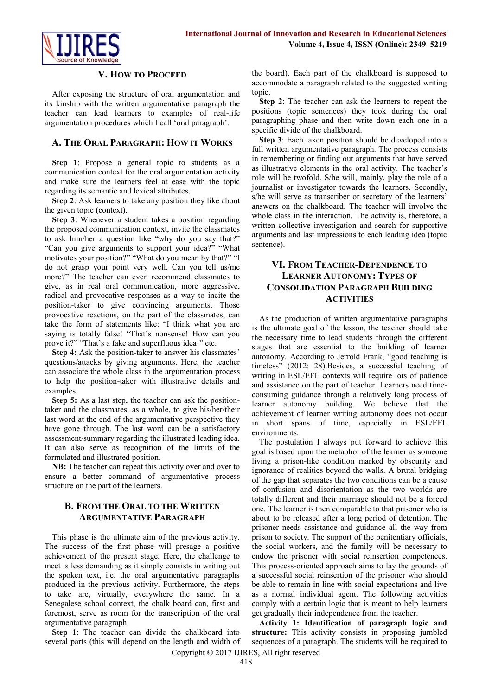

#### **V. HOW TO PROCEED**

After exposing the structure of oral argumentation and its kinship with the written argumentative paragraph the teacher can lead learners to examples of real-life argumentation procedures which I call 'oral paragraph'.

#### **A. THE ORAL PARAGRAPH: HOW IT WORKS**

**Step 1**: Propose a general topic to students as a communication context for the oral argumentation activity and make sure the learners feel at ease with the topic regarding its semantic and lexical attributes.

**Step 2**: Ask learners to take any position they like about the given topic (context).

**Step 3**: Whenever a student takes a position regarding the proposed communication context, invite the classmates to ask him/her a question like "why do you say that?" "Can you give arguments to support your idea?" "What motivates your position?" "What do you mean by that?" "I do not grasp your point very well. Can you tell us/me more?" The teacher can even recommend classmates to give, as in real oral communication, more aggressive, radical and provocative responses as a way to incite the position-taker to give convincing arguments. Those provocative reactions, on the part of the classmates, can take the form of statements like: "I think what you are saying is totally false! "That's nonsense! How can you prove it?" "That's a fake and superfluous idea!" etc.

**Step 4:** Ask the position-taker to answer his classmates' questions/attacks by giving arguments. Here, the teacher can associate the whole class in the argumentation process to help the position-taker with illustrative details and examples.

**Step 5:** As a last step, the teacher can ask the positiontaker and the classmates, as a whole, to give his/her/their last word at the end of the argumentative perspective they have gone through. The last word can be a satisfactory assessment/summary regarding the illustrated leading idea. It can also serve as recognition of the limits of the formulated and illustrated position.

**NB:** The teacher can repeat this activity over and over to ensure a better command of argumentative process structure on the part of the learners.

#### **B. FROM THE ORAL TO THE WRITTEN ARGUMENTATIVE PARAGRAPH**

This phase is the ultimate aim of the previous activity. The success of the first phase will presage a positive achievement of the present stage. Here, the challenge to meet is less demanding as it simply consists in writing out the spoken text, i.e. the oral argumentative paragraphs produced in the previous activity. Furthermore, the steps to take are, virtually, everywhere the same. In a Senegalese school context, the chalk board can, first and foremost, serve as room for the transcription of the oral argumentative paragraph.

**Step 1**: The teacher can divide the chalkboard into several parts (this will depend on the length and width of the board). Each part of the chalkboard is supposed to accommodate a paragraph related to the suggested writing topic.

**Step 2**: The teacher can ask the learners to repeat the positions (topic sentences) they took during the oral paragraphing phase and then write down each one in a specific divide of the chalkboard.

**Step 3**: Each taken position should be developed into a full written argumentative paragraph. The process consists in remembering or finding out arguments that have served as illustrative elements in the oral activity. The teacher's role will be twofold. S/he will, mainly, play the role of a journalist or investigator towards the learners. Secondly, s/he will serve as transcriber or secretary of the learners' answers on the chalkboard. The teacher will involve the whole class in the interaction. The activity is, therefore, a written collective investigation and search for supportive arguments and last impressions to each leading idea (topic sentence).

# **VI. FROM TEACHER-DEPENDENCE TO LEARNER AUTONOMY: TYPES OF CONSOLIDATION PARAGRAPH BUILDING ACTIVITIES**

As the production of written argumentative paragraphs is the ultimate goal of the lesson, the teacher should take the necessary time to lead students through the different stages that are essential to the building of learner autonomy. According to Jerrold Frank, "good teaching is timeless" (2012: 28).Besides, a successful teaching of writing in ESL/EFL contexts will require lots of patience and assistance on the part of teacher. Learners need timeconsuming guidance through a relatively long process of learner autonomy building. We believe that the achievement of learner writing autonomy does not occur in short spans of time, especially in ESL/EFL environments.

The postulation I always put forward to achieve this goal is based upon the metaphor of the learner as someone living a prison-like condition marked by obscurity and ignorance of realities beyond the walls. A brutal bridging of the gap that separates the two conditions can be a cause of confusion and disorientation as the two worlds are totally different and their marriage should not be a forced one. The learner is then comparable to that prisoner who is about to be released after a long period of detention. The prisoner needs assistance and guidance all the way from prison to society. The support of the penitentiary officials, the social workers, and the family will be necessary to endow the prisoner with social reinsertion competences. This process-oriented approach aims to lay the grounds of a successful social reinsertion of the prisoner who should be able to remain in line with social expectations and live as a normal individual agent. The following activities comply with a certain logic that is meant to help learners get gradually their independence from the teacher.

Copyright © 2017 IJIRES, All right reserved **Activity 1: Identification of paragraph logic and structure:** This activity consists in proposing jumbled sequences of a paragraph. The students will be required to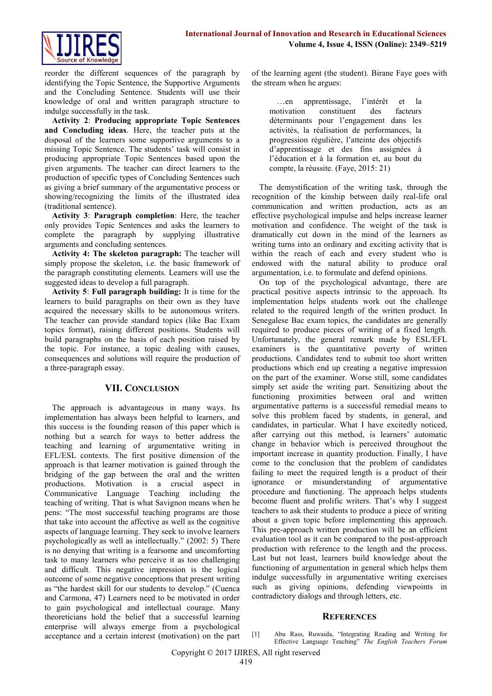

reorder the different sequences of the paragraph by identifying the Topic Sentence, the Supportive Arguments and the Concluding Sentence. Students will use their knowledge of oral and written paragraph structure to indulge successfully in the task.

**Activity 2**: **Producing appropriate Topic Sentences and Concluding ideas**. Here, the teacher puts at the disposal of the learners some supportive arguments to a missing Topic Sentence. The students' task will consist in producing appropriate Topic Sentences based upon the given arguments. The teacher can direct learners to the production of specific types of Concluding Sentences such as giving a brief summary of the argumentative process or showing/recognizing the limits of the illustrated idea (traditional sentence).

**Activity 3**: **Paragraph completion**: Here, the teacher only provides Topic Sentences and asks the learners to complete the paragraph by supplying illustrative arguments and concluding sentences.

**Activity 4: The skeleton paragraph:** The teacher will simply propose the skeleton, i.e. the basic framework of the paragraph constituting elements. Learners will use the suggested ideas to develop a full paragraph.

**Activity 5**: **Full paragraph building:** It is time for the learners to build paragraphs on their own as they have acquired the necessary skills to be autonomous writers. The teacher can provide standard topics (like Bac Exam topics format), raising different positions. Students will build paragraphs on the basis of each position raised by the topic. For instance, a topic dealing with causes, consequences and solutions will require the production of a three-paragraph essay.

#### **VII. CONCLUSION**

The approach is advantageous in many ways. Its implementation has always been helpful to learners, and this success is the founding reason of this paper which is nothing but a search for ways to better address the teaching and learning of argumentative writing in EFL/ESL contexts. The first positive dimension of the approach is that learner motivation is gained through the bridging of the gap between the oral and the written productions. Motivation is a crucial aspect in Communicative Language Teaching including the teaching of writing. That is what Savignon means when he pens: "The most successful teaching programs are those that take into account the affective as well as the cognitive aspects of language learning. They seek to involve learners psychologically as well as intellectually." (2002: 5) There is no denying that writing is a fearsome and uncomforting task to many learners who perceive it as too challenging and difficult. This negative impression is the logical outcome of some negative conceptions that present writing as "the hardest skill for our students to develop." (Cuenca and Carmona, 47) Learners need to be motivated in order to gain psychological and intellectual courage. Many theoreticians hold the belief that a successful learning enterprise will always emerge from a psychological acceptance and a certain interest (motivation) on the part of the learning agent (the student). Birane Faye goes with the stream when he argues:

…en apprentissage, l'intérêt et la motivation constituent des facteurs déterminants pour l'engagement dans les activités, la réalisation de performances, la progression régulière, l'atteinte des objectifs d'apprentissage et des fins assignées à l'éducation et à la formation et, au bout du compte, la réussite. (Faye, 2015: 21)

The demystification of the writing task, through the recognition of the kinship between daily real-life oral communication and written production, acts as an effective psychological impulse and helps increase learner motivation and confidence. The weight of the task is dramatically cut down in the mind of the learners as writing turns into an ordinary and exciting activity that is within the reach of each and every student who is endowed with the natural ability to produce oral argumentation, i.e. to formulate and defend opinions.

On top of the psychological advantage, there are practical positive aspects intrinsic to the approach. Its implementation helps students work out the challenge related to the required length of the written product. In Senegalese Bac exam topics, the candidates are generally required to produce pieces of writing of a fixed length. Unfortunately, the general remark made by ESL/EFL examiners is the quantitative poverty of written productions. Candidates tend to submit too short written productions which end up creating a negative impression on the part of the examiner. Worse still, some candidates simply set aside the writing part. Sensitizing about the functioning proximities between oral and written argumentative patterns is a successful remedial means to solve this problem faced by students, in general, and candidates, in particular. What I have excitedly noticed, after carrying out this method, is learners' automatic change in behavior which is perceived throughout the important increase in quantity production. Finally, I have come to the conclusion that the problem of candidates failing to meet the required length is a product of their ignorance or misunderstanding of argumentative procedure and functioning. The approach helps students become fluent and prolific writers. That's why I suggest teachers to ask their students to produce a piece of writing about a given topic before implementing this approach. This pre-approach written production will be an efficient evaluation tool as it can be compared to the post-approach production with reference to the length and the process. Last but not least, learners build knowledge about the functioning of argumentation in general which helps them indulge successfully in argumentative writing exercises such as giving opinions, defending viewpoints in contradictory dialogs and through letters, etc.

#### **REFERENCES**

#### [1] Abu Rass, Ruwaida, "Integrating Reading and Writing for Effective Language Teaching" *The English Teachers Forum*

Copyright © 2017 IJIRES, All right reserved